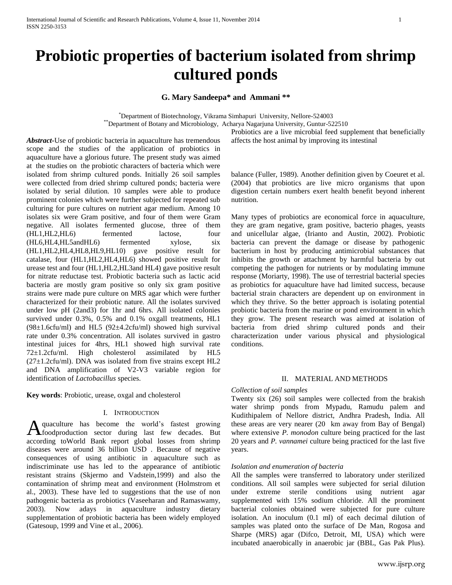# **Probiotic properties of bacterium isolated from shrimp cultured ponds**

# **G. Mary Sandeepa\* and Ammani \*\***

\*Department of Biotechnology, Vikrama Simhapuri University, Nellore-524003 \*\*Department of Botany and Microbiology, Acharya Nagarjuna University, Guntur-522510

*Abstract***-**Use of probiotic bacteria in aquaculture has tremendous scope and the studies of the application of probiotics in aquaculture have a glorious future. The present study was aimed at the studies on the probiotic characters of bacteria which were isolated from shrimp cultured ponds. Initially 26 soil samples were collected from dried shrimp cultured ponds; bacteria were isolated by serial dilution. 10 samples were able to produce prominent colonies which were further subjected for repeated sub culturing for pure cultures on nutrient agar medium. Among 10 isolates six were Gram positive, and four of them were Gram negative. All isolates fermented glucose, three of them (HL1,HL2,HL6) fermented lactose, four (HL6,HL4,HL5andHL6) fermented xylose, six (HL1,HL2,HL4,HL8,HL9,HL10) gave positive result for catalase, four (HL1,HL2,HL4,HL6) showed positive result for urease test and four (HL1,HL2,HL3and HL4) gave positive result for nitrate reductase test. Probiotic bacteria such as lactic acid bacteria are mostly gram positive so only six gram positive strains were made pure culture on MRS agar which were further characterized for their probiotic nature. All the isolates survived under low pH (2and3) for 1hr and 6hrs. All isolated colonies survived under 0.3%, 0.5% and 0.1% oxgall treatments, HL1  $(98\pm1.6c$ fu/ml) and HL5  $(92\pm4.2c$ fu/ml) showed high survival rate under 0.3% concentration. All isolates survived in gastro intestinal juices for 4hrs, HL1 showed high survival rate 72±1.2cfu/ml. High cholesterol assimilated by HL5 (27±1.2cfu/ml). DNA was isolated from five strains except HL2 and DNA amplification of V2-V3 variable region for identification of *Lactobacillus* species.

**Key words**: Probiotic, urease, oxgal and cholesterol

# I. INTRODUCTION

quaculture has become the world's fastest growing A quaculture has become the world's fastest growing<br>
foodproduction sector during last few decades. But according toWorld Bank report global losses from shrimp diseases were around 36 billion USD . Because of negative consequences of using antibiotic in aquaculture such as indiscriminate use has led to the appearance of antibiotic resistant strains (Skjermo and Vadstein,1999) and also the contamination of shrimp meat and environment (Holmstrom et al., 2003). These have led to suggestions that the use of non pathogenic bacteria as probiotics (Vaseeharan and Ramaswamy, 2003). Now adays in aquaculture industry dietary supplementation of probiotic bacteria has been widely employed (Gatesoup, 1999 and Vine et al., 2006).

Probiotics are a live microbial feed supplement that beneficially affects the host animal by improving its intestinal

balance (Fuller, 1989). Another definition given by Coeuret et al. (2004) that probiotics are live micro organisms that upon digestion certain numbers exert health benefit beyond inherent nutrition.

Many types of probiotics are economical force in aquaculture, they are gram negative, gram positive, bacterio phages, yeasts and unicellular algae, (Irianto and Austin, 2002). Probiotic bacteria can prevent the damage or disease by pathogenic bacterium in host by producing antimicrobial substances that inhibits the growth or attachment by harmful bacteria by out competing the pathogen for nutrients or by modulating immune response (Moriarty, 1998). The use of terrestrial bacterial species as probiotics for aquaculture have had limited success, because bacterial strain characters are dependent up on environment in which they thrive. So the better approach is isolating potential probiotic bacteria from the marine or pond environment in which they grow. The present research was aimed at isolation of bacteria from dried shrimp cultured ponds and their characterization under various physical and physiological conditions.

# II. MATERIAL AND METHODS

# *Collection of soil samples*

Twenty six (26) soil samples were collected from the brakish water shrimp ponds from Mypadu, Ramudu palem and Kudithipalem of Nellore district, Andhra Pradesh, India. All these areas are very nearer (20 km away from Bay of Bengal) where extensive *P. monodon* culture being practiced for the last 20 years and *P. vannamei* culture being practiced for the last five years.

### *Isolation and enumeration of bacteria*

All the samples were transferred to laboratory under sterilized conditions. All soil samples were subjected for serial dilution under extreme sterile conditions using nutrient agar supplemented with 15% sodium chloride. All the prominent bacterial colonies obtained were subjected for pure culture isolation. An inoculum (0.1 ml) of each decimal dilution of samples was plated onto the surface of De Man, Rogosa and Sharpe (MRS) agar (Difco, Detroit, MI, USA) which were incubated anaerobically in anaerobic jar (BBL, Gas Pak Plus).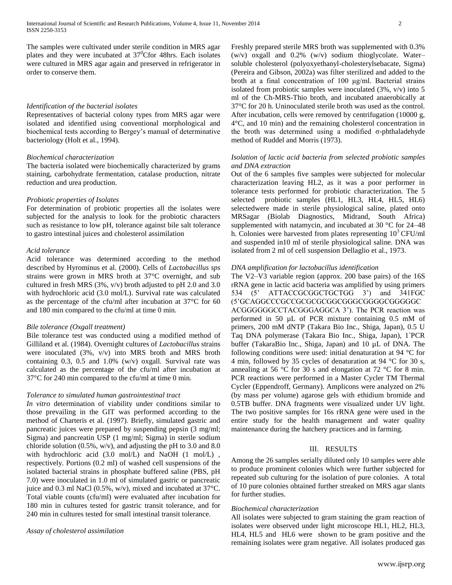The samples were cultivated under sterile condition in MRS agar plates and they were incubated at  $37^{\circ}$ Cfor 48hrs. Each isolates were cultured in MRS agar again and preserved in refrigerator in order to conserve them.

#### *Identification of the bacterial isolates*

Representatives of bacterial colony types from MRS agar were isolated and identified using conventional morphological and biochemical tests according to Bergey's manual of determinative bacteriology (Holt et al., 1994).

#### *Biochemical characterization*

The bacteria isolated were biochemically characterized by grams staining, carbohydrate fermentation, catalase production, nitrate reduction and urea production.

#### *Probiotic properties of Isolates*

For determination of probiotic properties all the isolates were subjected for the analysis to look for the probiotic characters such as resistance to low pH, tolerance against bile salt tolerance to gastro intestinal juices and cholesterol assimilation

# *Acid tolerance*

Acid tolerance was determined according to the method described by Hyrominus et al. (2000). Cells of *Lactobacillus sps* strains were grown in MRS broth at 37°C overnight, and sub cultured in fresh MRS (3%, v/v) broth adjusted to pH 2.0 and 3.0 with hydrochloric acid (3.0 mol/L). Survival rate was calculated as the percentage of the cfu/ml after incubation at 37°C for 60 and 180 min compared to the cfu/ml at time 0 min.

#### *Bile tolerance (Oxgall treatment)*

Bile tolerance test was conducted using a modified method of Gilliland et al. (1984). Overnight cultures of *Lactobacillus* strains were inoculated (3%, v/v) into MRS broth and MRS broth containing 0.3, 0.5 and 1.0% (w/v) oxgall. Survival rate was calculated as the percentage of the cfu/ml after incubation at 37°C for 240 min compared to the cfu/ml at time 0 min.

#### *Tolerance to simulated human gastrointestinal tract*

*In vitro* determination of viability under conditions similar to those prevailing in the GIT was performed according to the method of Charteris et al. (1997). Briefly, simulated gastric and pancreatic juices were prepared by suspending pepsin (3 mg/ml; Sigma) and pancreatin USP (1 mg/ml; Sigma) in sterile sodium chloride solution (0.5%, w/v), and adjusting the pH to 3.0 and 8.0 with hydrochloric acid (3.0 mol/L) and NaOH (1 mol/L) , respectively. Portions (0.2 ml) of washed cell suspensions of the isolated bacterial strains in phosphate buffered saline (PBS, pH 7.0) were inoculated in 1.0 ml of simulated gastric or pancreatic juice and 0.3 ml NaCl (0.5%, w/v), mixed and incubated at 37°C. Total viable counts (cfu/ml) were evaluated after incubation for 180 min in cultures tested for gastric transit tolerance, and for 240 min in cultures tested for small intestinal transit tolerance.

### *Assay of cholesterol assimilation*

Freshly prepared sterile MRS broth was supplemented with 0.3% (w/v) oxgall and 0.2% (w/v) sodium thioglycolate. Water– soluble cholesterol (polyoxyethanyl-cholesterylsebacate, Sigma) (Pereira and Gibson, 2002a) was filter sterilized and added to the broth at a final concentration of 100 μg/ml. Bacterial strains isolated from probiotic samples were inoculated (3%, v/v) into 5 ml of the Ch-MRS-Thio broth, and incubated anaerobically at 37°C for 20 h. Uninoculated sterile broth was used as the control. After incubation, cells were removed by centrifugation (10000 g, 4°C, and 10 min) and the remaining cholesterol concentration in the broth was determined using a modified  $\sigma$ -phthaladehyde method of Ruddel and Morris (1973).

# *Isolation of lactic acid bacteria from selected probiotic samples and DNA extraction*

Out of the 6 samples five samples were subjected for molecular characterization leaving HL2, as it was a poor performer in tolerance tests performed for probiotic characterization. The 5 selected probiotic samples (HL1, HL3, HL4, HL5, HL6) selectedwere made in sterile physiological saline, plated onto MRSagar (Biolab Diagnostics, Midrand, South Africa) supplemented with natamycin, and incubated at 30 °C for 24–48 h. Colonies were harvested from plates representing  $10<sup>3</sup> CFU/ml$ and suspended in10 ml of sterile physiological saline. DNA was isolated from 2 ml of cell suspension Dellaglio et al., 1973.

# *DNA amplification for lactobacillus identification*

The V2–V3 variable region (approx. 200 base pairs) of the 16S rRNA gene in lactic acid bacteria was amplified by using primers 534 (5' ATTACCGCGGCTGCTGG 3') and 341FGC (5'GCAGGCCCGCCGCGCGCGGCGGGCGGGGCGGGGGC ACGGGGGGCCTACGGGAGGCA 3'). The PCR reaction was performed in 50 µL of PCR mixture containing 0.5 mM of primers, 200 mM dNTP (Takara Bio Inc., Shiga, Japan), 0.5 U Taq DNA polymerase (Takara Bio Inc., Shiga, Japan), 1´PCR buffer (TakaraBio Inc., Shiga, Japan) and 10 µL of DNA. The following conditions were used: initial denaturation at 94 °C for 4 min, followed by 35 cycles of denaturation at 94 °C for 30 s, annealing at 56  $\degree$ C for 30 s and elongation at 72  $\degree$ C for 8 min. PCR reactions were performed in a Master Cycler TM Thermal Cycler (Eppendroff, Germany). Amplicons were analyzed on 2% (by mass per volume) agarose gels with ethidium bromide and 0.5TB buffer. DNA fragments were visualized under UV light. The two positive samples for 16s rRNA gene were used in the entire study for the health management and water quality maintenance during the hatchery practices and in farming.

# III. RESULTS

Among the 26 samples serially diluted only 10 samples were able to produce prominent colonies which were further subjected for repeated sub culturing for the isolation of pure colonies. A total of 10 pure colonies obtained further streaked on MRS agar slants for further studies.

#### *Biochemical characterization*

All isolates were subjected to gram staining the gram reaction of isolates were observed under light microscope HL1, HL2, HL3, HL4, HL5 and HL6 were shown to be gram positive and the remaining isolates were gram negative. All isolates produced gas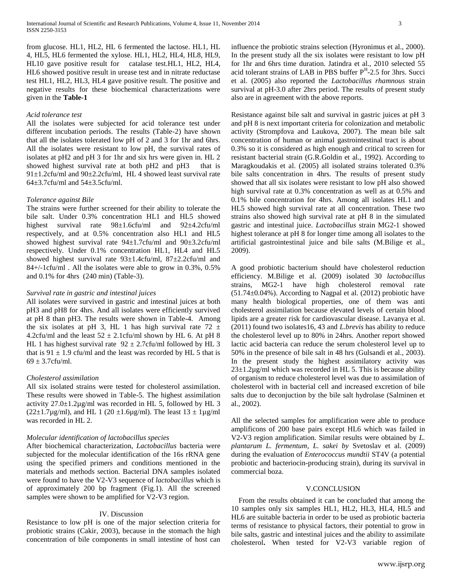from glucose. HL1, HL2, HL 6 fermented the lactose. HL1, HL 4, HL5, HL6 fermented the xylose. HL1, HL2, HL4, HL8, HL9, HL10 gave positive result for catalase test.HL1, HL2, HL4, HL6 showed positive result in urease test and in nitrate reductase test HL1, HL2, HL3, HL4 gave positive result. The positive and negative results for these biochemical characterizations were given in the **Table-1**

### *Acid tolerance test*

All the isolates were subjected for acid tolerance test under different incubation periods. The results (Table-2) have shown that all the isolates tolerated low pH of 2 and 3 for 1hr and 6hrs. All the isolates were resistant to low pH, the survival rates of isolates at pH2 and pH 3 for 1hr and six hrs were given in. HL 2 showed highest survival rate at both pH2 and pH3 that is 91±1.2cfu/ml and 90±2.2cfu/ml, HL 4 showed least survival rate 64±3.7cfu/ml and 54±3.5cfu/ml.

#### *Tolerance against Bile*

The strains were further screened for their ability to tolerate the bile salt. Under 0.3% concentration HL1 and HL5 showed highest survival rate 98±1.6cfu/ml and 92±4.2cfu/ml respectively, and at 0.5% concentration also HL1 and HL5 showed highest survival rate 94±1.7cfu/ml and 90±3.2cfu/ml respectively. Under 0.1% concentration HL1, HL4 and HL5 showed highest survival rate 93±1.4cfu/ml, 87±2.2cfu/ml and 84+/-1cfu/ml . All the isolates were able to grow in 0.3%, 0.5% and 0.1% for 4hrs (240 min) (Table-3).

#### *Survival rate in gastric and intestinal juices*

All isolates were survived in gastric and intestinal juices at both pH3 and pH8 for 4hrs. And all isolates were efficiently survived at pH 8 than pH3. The results were shown in Table-4. Among the six isolates at pH 3, HL 1 has high survival rate  $72 \pm$ 4.2cfu/ml and the least  $52 \pm 2.1$ cfu/ml shown by HL 6. At pH 8 HL 1 has highest survival rate  $92 \pm 2.7$ cfu/ml followed by HL 3 that is  $91 \pm 1.9$  cfu/ml and the least was recorded by HL 5 that is  $69 \pm 3.7$ cfu/ml.

# *Cholesterol assimilation*

All six isolated strains were tested for cholesterol assimilation. These results were showed in Table-5. The highest assimilation activity  $27.0 \pm 1.2 \mu$ g/ml was recorded in HL 5, followed by HL 3  $(22\pm 1.7\mu g/ml)$ , and HL 1 (20  $\pm 1.6\mu g/ml$ ). The least  $13 \pm 1\mu g/ml$ was recorded in HL 2.

# *Molecular identification of lactobacillus species*

After biochemical characterization, *Lactobacillus* bacteria were subjected for the molecular identification of the 16s rRNA gene using the specified primers and conditions mentioned in the materials and methods section. Bacterial DNA samples isolated were found to have the V2-V3 sequence of *lactobacillus* which is of approximately 200 bp fragment (Fig.1). All the screened samples were shown to be amplified for V2-V3 region.

# IV. Discussion

Resistance to low pH is one of the major selection criteria for probiotic strains (Cakir, 2003), because in the stomach the high concentration of bile components in small intestine of host can

influence the probiotic strains selection (Hyronimus et al., 2000). In the present study all the six isolates were resistant to low pH for 1hr and 6hrs time duration. Jatindra et al., 2010 selected 55 acid tolerant strains of LAB in PBS buffer  $P<sup>H</sup>$ -2.5 for 3hrs. Succi et al. (2005) also reported the *Lactobacillus rhamnous* strain survival at pH-3.0 after 2hrs period. The results of present study also are in agreement with the above reports.

Resistance against bile salt and survival in gastric juices at pH 3 and pH 8 is next important criteria for colonization and metabolic activity (Strompfova and Laukova, 2007). The mean bile salt concentration of human or animal gastrointestinal tract is about 0.3% so it is considered as high enough and critical to screen for resistant bacterial strain (G.R.Goldin et al., 1992). According to Maragkoudakis et al. (2005) all isolated strains tolerated 0.3% bile salts concentration in 4hrs. The results of present study showed that all six isolates were resistant to low pH also showed high survival rate at 0.3% concentration as well as at 0.5% and 0.1% bile concentration for 4hrs. Among all isolates HL1 and HL5 showed high survival rate at all concentration. These two strains also showed high survival rate at pH 8 in the simulated gastric and intestinal juice. *Lactobacillus* strain MG2-1 showed highest tolerance at pH 8 for longer time among all isolates to the artificial gastrointestinal juice and bile salts (M.Bilige et al., 2009).

A good probiotic bacterium should have cholesterol reduction efficiency. M.Bilige et al. (2009) isolated 30 *lactobacillus* strains, MG2-1 have high cholesterol removal rate (51.74±0.04%). According to Nagpal et al. (2012) probiotic have many health biological properties, one of them was anti cholesterol assimilation because elevated levels of certain blood lipids are a greater risk for cardiovascular disease. Lavanya et al. (2011) found two isolates16, 43 and *L.brevis* has ability to reduce the cholesterol level up to 80% in 24hrs. Another report showed lactic acid bacteria can reduce the serum cholesterol level up to 50% in the presence of bile salt in 48 hrs (Gulsandi et al., 2003). In the present study the highest assimilatory activity was  $23\pm1.2\mu$ g/ml which was recorded in HL 5. This is because ability of organism to reduce cholesterol level was due to assimilation of cholesterol with in bacterial cell and increased excretion of bile salts due to deconjuction by the bile salt hydrolase (Salminen et al., 2002).

All the selected samples for amplification were able to produce amplificons of 200 base pairs except HL6 which was failed in V2-V3 region amplification. Similar results were obtained by *L. plantarum L. fermentum, L. sakei by* Svetoslav et al. (2009) during the evaluation of *Enterococcus mundtii* ST4V (a potential probiotic and bacteriocin-producing strain), during its survival in commercial boza.

#### V.CONCLUSION

From the results obtained it can be concluded that among the 10 samples only six samples HL1, HL2, HL3, HL4, HL5 and HL6 are suitable bacteria in order to be used as probiotic bacteria terms of resistance to physical factors, their potential to grow in bile salts, gastric and intestinal juices and the ability to assimilate cholesterol**.** When tested for V2-V3 variable region of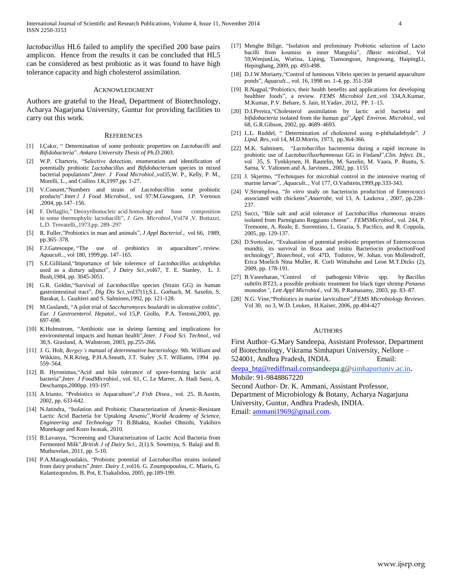*lactobacillus* HL6 failed to amplify the specified 200 base pairs amplicon. Hence from the results it can be concluded that HL5 can be considered as best probiotic as it was found to have high tolerance capacity and high cholesterol assimilation.

#### ACKNOWLEDGMENT

Authors are grateful to the Head, Department of Biotechnology, Acharya Nagarjuna University, Guntur for providing facilities to carry out this work.

#### **REFERENCES**

- [1] I.Çakır, " Determination of some probiotic properties on *Lactobacilli* and *Bifidobacteria*". *Ankara University Thesis of Ph.D.*2003.
- [2] W.P. Charteris, "Selective detection, enumeration and identification of potentially probiotic *Lactobacillus* and *Bifidobacterium* species in mixed bacterial populations",*Inter. J Food Microbiol.,*vol35,W. P., Kelly, P. M., Morelli, L., and Collins J.K,1997,pp. 1-27.
- [3] V.Coeuret,"Numbers and strain of *Lactobacilli*in some probiotic products".*Inter.l J Food Microbiol.,* vol 97:M.Guwguen, J.P. Vernoux ,2004, pp.147–156.
- [4] F. Dellaglio," Deoxyribonucleic acid homology and base composition in some thermophylic lactobacilli", *J. Gen. Microbiol.,*Vol*74 ,*V. Bottazzi, L.D. Trovatelli*,*,1973,pp. 289–297
- [5] R. Fuller,"Probiotics in man and animals", *J Appl Bacteriol.,* vol 66, 1989, pp.365–378.
- [6] F.J.Gatesoupe, "The use of probiotics in aquaculture", *review*. *Aquacult..,* vol 180, 1999,pp. 147–165.
- [7] S.E.Gilliland,"Importance of bile tolerence of *Lactobacillus acidophilus*  used as a dietary adjunct", *J Dairy Sci.,*vol67, T. E. Stanley, L. J. Bush,1984, pp. 3045-3051.
- [8] G.R. Goldin,"Survival of *Lactobacillus* species (Strain GG) in human gastrointestinal tract", *Dig Dis Sci.,*vol37(1),S.L. Gorbach, M. Saxelin, S. Barakat, L. Gualtieri and S. Salminen,1992, pp. 121-128.
- [9] M.Guslandi, "A pilot trial of *Saccharomyces boulardii* in ulcerative colitis", *Eur. J Gastroenterol. Hepatol.*, vol 15,P. Giollo, P.A. Testoni,2003, pp. 697-698.
- [10] K.Holmstrom, "Antibiotic use in shrimp farming and implications for environmental impacts and human health",*Inter. J Food Sci. Technol.*, vol 38,S. Graslund, A. Wahstrom, 2003, pp.255-266.
- [11] J. G. Holt, *Bergey's manual of determinative bacteriology*. 9th. William and Wikkins, N.R.Krieg, P.H.A.Sneath, J.T. Staley ,S.T. Williams, 1994 pp. 559–564.
- [12] B. Hyronimus, "Acid and bile tolerance of spore-forming lactic acid bacteria",*Inter. J FoodMicrobiol.*, vol. 61, C. Le Marrec, A. Hadi Sassi, A. Deschamps,2000pp. 193-197.
- [13] A.Irianto, "Probiotics in Aquaculture",*J Fish Disea.,* vol. 25, B.Austin, 2002, pp. 633-642.
- [14] N.Jatindra, "Isolation and Probiotic Characterization of Arsenic-Resistant Lactic Acid Bacteria for Uptaking Arsenic",*World Academy of Science, Engineering and Technology* 71 B.Bhakta, Kouhei Ohnishi, Yukihiro Munekage and Kozo Iwasak, 2010.
- [15] B.Lavanya, "Screening and Characterization of Lactic Acid Bacteria from Fermented Milk",*British J of Dairy Sci.,* 2(1).S. Sowmiya, S. Balaji and B. Muthuvelan, 2011, pp. 5-10.
- [16] P.A.Maragkoudakis, "Probiotic potential of *Lactobacillus* strains isolated from dairy products",*Inter. Dairy J.,*vol16. G. Zoumpopoulou, C. Miaris, G. Kalantzopoulos, B. Pot, E.Tsakalidou, 2005, pp.189-199.
- [17] Menghe Bilige, "Isolation and preliminary Probiotic selection of Lacto bacilli from koumiss in inner Mangolia", *JBasic micobial.,* Vol 59,WenjunLiu, Wurina, Liping, Tiansongsun, Jungowang, HaipingLi, Hepinghang, 2009, pp. 493-498.
- [18] D.J.W.Moriarty, "Control of luminous Vibrio species in penaeid aquaculture ponds", *Aquacult..*, vol. 16, 1998 no. 1-4, pp. 351-358
- [19] R.Nagpal,"Probiotics, their health benefits and applications for developing healthier foods", a review. *FEMS Microbiol Lett*.,vol 334,A.Kumar, M.Kumar, P.V. Behare, S. Jain, H.Yadav, 2012, PP. 1–15.
- [20] D.I.Pereira, "Cholesterol assimilation by lactic acid bacteria and *bifidobacteria* isolated from the human gut",*Appl. Environ. Microbiol.*, vol 68, G.R.Gibson, 2002, pp. 4689–4693.
- [21] L.L. Ruddel, " Determination of cholesterol using σ-phthaladehyde". *J Lipid. Res.,*vol 14, M.D.Morris, 1973, pp.364-366.
- [22] M.K. Salminen, "*Lactobacillus* bacteremia during a rapid increase in probiotic use of *Lactobacillusrhamnosus* GG in Finland",*Clin. Infect. Di*., vol 35, S. Tynkkynen, H. Rautelin, M. Saxelin, M. Vaara, P. Ruutu, S. Sarna, V. Valtonen and A. Jarvinen., 2002, pp. 1155
- [23] J. Skjermo, "Techniques for microbial control in the intensive rearing of marine larvae", .*Aquacult..,* Vol 177, O.Vadstein,1999,pp.333-343.
- [24] V.Strompfova, "*In vitro* study on bacteriocin production of Enterococci associated with chickens",*Anaerobe*, vol 13, A. Laukova , 2007, pp.228– 237.
- [25] Succi, "Bile salt and acid tolerance of *Lactobacillus rhamnosus* strains isolated from Parmigiano Reggiano cheese". *FEMSMicrobiol*., vol. 244, P. Tremonte, A. Reale, E. Sorrentino, L. Grazia, S. Pacifico, and R. Coppola, 2005, pp. 129-137.
- [26] D.Svetoslav, "Evaluatiion of potential probiotic properties of Enterococcus mundtii, its survival in Boza and insitu Bacteriocin productionFood technology", *Biotechnol*., vol 47D, Todorov, W. Johan. von Mollendroff, Erica Moelich Nina Muller, R. Corli Wittuhuhn and Leon M.T.Dicks (2), 2009, pp. 178-191.
- [27] B.Vaseeharan, "Control of pathogenic *Vibrio s*pp. by *Bacillus subtilis* BT23, a possible probiotic treatment for black tiger shrimp *Penaeus monodon"*, *Lett Appl Microbiol.,* vol 36, P.Ramasamy, 2003, pp. 83–87.
- [28] N.G. Vine,"Probiotics in marine larviculture",*FEMS Microbiology Reviews*. Vol 30, no 3, W.D. Leukes, H.Kaiser, 2006, pp.404-427

#### AUTHORS

First Author–G.Mary Sandeepa, Assistant Professor, Department of Biotechnology, Vikrama Simhapuri University, Nellore – 524001, Andhra Pradesh, INDIA. Email:

[deepa\\_btg@rediffmail.coms](mailto:deepa_btg@rediffmail.com)andeepa.g[@simhapuriuniv.ac.in](http://simhapuriuniv.ac.in/). Mobile: 91-9848867220

Second Author- Dr. K. Ammani, Assistant Professor,

Department of Microbiology & Botany, Acharya Nagarjuna University, Guntur, Andhra Pradesh, INDIA.

Email: [ammani1969@gmail.com.](mailto:ammani1969@gmail.com)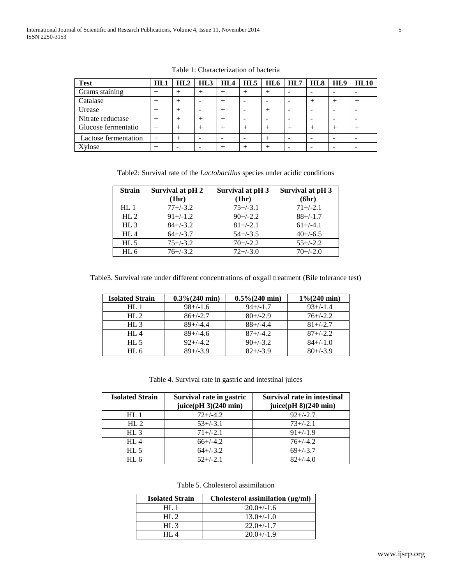| <b>Test</b>          | HL1  | HL2 | HL3 | HL4 |   | $HL5$   $HL6$   $HL7$    | HL8                      | HL <sub>9</sub> | <b>HL10</b> |
|----------------------|------|-----|-----|-----|---|--------------------------|--------------------------|-----------------|-------------|
| Grams staining       |      |     |     |     |   |                          | -                        |                 |             |
| Catalase             |      |     |     |     |   | $\overline{\phantom{0}}$ |                          |                 |             |
| Urease               |      |     |     |     |   |                          | $\overline{\phantom{0}}$ |                 |             |
| Nitrate reductase    | $^+$ |     |     |     | - | $\overline{\phantom{0}}$ | -                        |                 | -           |
| Glucose fermentatio  | $^+$ |     |     |     |   |                          |                          |                 |             |
| Lactose fermentation | $+$  |     |     | -   |   |                          | -                        |                 | -           |
| Xvlose               |      |     |     |     |   |                          |                          |                 |             |

Table 1: Characterization of bacteria

Table2: Survival rate of the *Lactobacillus* species under acidic conditions

| <b>Strain</b>   | Survival at pH 2 | Survival at pH 3 | Survival at pH 3 |
|-----------------|------------------|------------------|------------------|
|                 | (1hr)            | (1hr)            | (6hr)            |
| HL1             | $77 + (-3.2)$    | $75 + (-3.1)$    | $71 + (-2.1)$    |
| HL <sub>2</sub> | $91 + (-1.2)$    | $90+/-2.2$       | $88+/1.7$        |
| HL3             | $84 + (-3.2)$    | $81 + (-2.1)$    | $61+/-4.1$       |
| HL4             | $64+/-3.7$       | $54+/-3.5$       | $40+/-6.5$       |
| $HL$ 5          | $75 + (-3.2)$    | $70+/-2.2$       | $55+/-2.2$       |
| $HL$ 6          | $76 + (-3.2)$    | $72 + (-3.0)$    | $70+/-2.0$       |

Table3. Survival rate under different concentrations of oxgall treatment (Bile tolerance test)

| <b>Isolated Strain</b> | $0.3\% (240 \text{ min})$ | $0.5\% (240 \text{ min})$ | $1\% (240 \text{ min})$ |
|------------------------|---------------------------|---------------------------|-------------------------|
| HL 1                   | $98 + (-1.6)$             | $94 + (-1.7)$             | $93+/-1.4$              |
| HL <sub>2</sub>        | $86+/-2.7$                | $80+/2.9$                 | $76 + (-2.2)$           |
| HL3                    | $89+/-4.4$                | $88+/4.4$                 | $81 + (-2.7)$           |
| HI.4                   | $89+/-4.6$                | $87 + (-4.2)$             | $87 + (-2.2)$           |
| $HL$ 5                 | $92+/-4.2$                | $90+/-3.2$                | $84+/-1.0$              |
| $HL$ 6                 | $89+/3.9$                 | $82 + (-3.9)$             | $80+/3.9$               |

Table 4. Survival rate in gastric and intestinal juices

| <b>Isolated Strain</b> | Survival rate in gastric<br>juice $pH$ 3) $(240 \text{ min})$ | Survival rate in intestinal<br>juice $pH_8$ $(240 \text{ min})$ |
|------------------------|---------------------------------------------------------------|-----------------------------------------------------------------|
| HL1                    | $72+/-4.2$                                                    | $92+/-2.7$                                                      |
|                        |                                                               |                                                                 |
| HL <sub>2</sub>        | $53+/-3.1$                                                    | $73+/-2.1$                                                      |
| HL3                    | $71 + (-2.1)$                                                 | $91+/1.9$                                                       |
| $HL$ 4                 | $66+/-4.2$                                                    | $76+/-4.2$                                                      |
| $HL$ 5                 | $64+/-3.2$                                                    | $69+/-3.7$                                                      |
| $HL$ 6                 | $52+/-2.1$                                                    | $82+/-4.0$                                                      |

Table 5. Cholesterol assimilation

| <b>Isolated Strain</b> | Cholesterol assimilation $(\mu g/ml)$ |
|------------------------|---------------------------------------|
| HL 1                   | $20.0 + (-1.6)$                       |
| HI.2                   | $13.0+/-1.0$                          |
| HL $\overline{3}$      | $22.0 + (-1.7)$                       |
| HI $\Lambda$           | $20.0 + (-1.9)$                       |